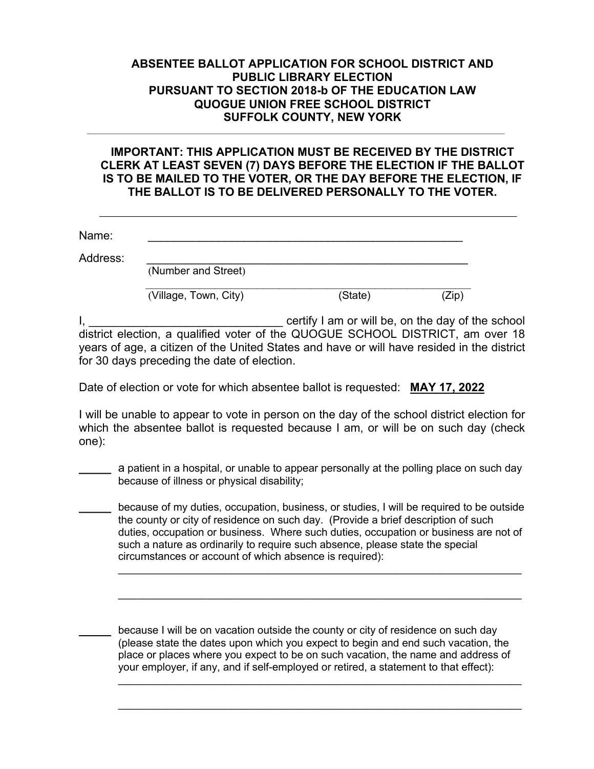## **ABSENTEE BALLOT APPLICATION FOR SCHOOL DISTRICT AND PUBLIC LIBRARY ELECTION PURSUANT TO SECTION 2018-b OF THE EDUCATION LAW QUOGUE UNION FREE SCHOOL DISTRICT SUFFOLK COUNTY, NEW YORK**

## **IMPORTANT: THIS APPLICATION MUST BE RECEIVED BY THE DISTRICT CLERK AT LEAST SEVEN (7) DAYS BEFORE THE ELECTION IF THE BALLOT IS TO BE MAILED TO THE VOTER, OR THE DAY BEFORE THE ELECTION, IF THE BALLOT IS TO BE DELIVERED PERSONALLY TO THE VOTER.**

| Name:    |                       |         |      |
|----------|-----------------------|---------|------|
| Address: | (Number and Street)   |         |      |
|          | (Village, Town, City) | (State) | Zip' |

I, \_\_\_\_\_\_\_\_\_\_\_\_\_\_\_\_\_\_\_\_\_\_\_\_\_\_\_\_\_\_ certify I am or will be, on the day of the school district election, a qualified voter of the QUOGUE SCHOOL DISTRICT, am over 18 years of age, a citizen of the United States and have or will have resided in the district for 30 days preceding the date of election.

Date of election or vote for which absentee ballot is requested: **MAY 17, 2022**

I will be unable to appear to vote in person on the day of the school district election for which the absentee ballot is requested because I am, or will be on such day (check one):

**\_\_\_\_\_** a patient in a hospital, or unable to appear personally at the polling place on such day because of illness or physical disability;

**\_\_\_\_\_** because of my duties, occupation, business, or studies, I will be required to be outside the county or city of residence on such day. (Provide a brief description of such duties, occupation or business. Where such duties, occupation or business are not of such a nature as ordinarily to require such absence, please state the special circumstances or account of which absence is required):

because I will be on vacation outside the county or city of residence on such day (please state the dates upon which you expect to begin and end such vacation, the place or places where you expect to be on such vacation, the name and address of your employer, if any, and if self-employed or retired, a statement to that effect):

 $\_$ 

 $\mathcal{L}_\text{max}$  and  $\mathcal{L}_\text{max}$  and  $\mathcal{L}_\text{max}$  and  $\mathcal{L}_\text{max}$  and  $\mathcal{L}_\text{max}$  and  $\mathcal{L}_\text{max}$ 

 $\_$ 

 $\_$